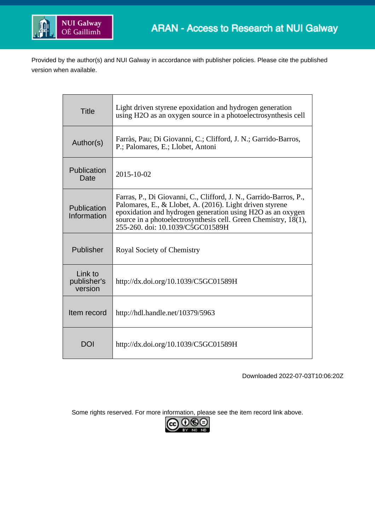

Provided by the author(s) and NUI Galway in accordance with publisher policies. Please cite the published version when available.

| <b>Title</b>                      | Light driven styrene epoxidation and hydrogen generation<br>using H2O as an oxygen source in a photoelectrosynthesis cell                                                                                                                                                                          |
|-----------------------------------|----------------------------------------------------------------------------------------------------------------------------------------------------------------------------------------------------------------------------------------------------------------------------------------------------|
| Author(s)                         | Farràs, Pau; Di Giovanni, C.; Clifford, J. N.; Garrido-Barros,<br>P.; Palomares, E.; Llobet, Antoni                                                                                                                                                                                                |
| Publication<br>Date               | 2015-10-02                                                                                                                                                                                                                                                                                         |
| Publication<br>Information        | Farras, P., Di Giovanni, C., Clifford, J. N., Garrido-Barros, P.,<br>Palomares, E., & Llobet, A. (2016). Light driven styrene<br>epoxidation and hydrogen generation using H2O as an oxygen<br>source in a photoelectrosynthesis cell. Green Chemistry, 18(1),<br>255-260. doi: 10.1039/C5GC01589H |
| Publisher                         | Royal Society of Chemistry                                                                                                                                                                                                                                                                         |
| Link to<br>publisher's<br>version | http://dx.doi.org/10.1039/C5GC01589H                                                                                                                                                                                                                                                               |
| Item record                       | http://hdl.handle.net/10379/5963                                                                                                                                                                                                                                                                   |
| DOI                               | http://dx.doi.org/10.1039/C5GC01589H                                                                                                                                                                                                                                                               |

Downloaded 2022-07-03T10:06:20Z

Some rights reserved. For more information, please see the item record link above.

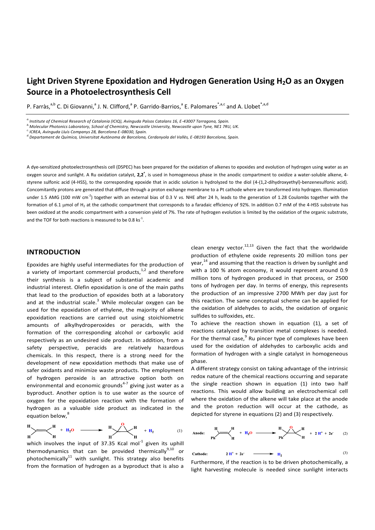# **Light Driven Styrene Epoxidation and Hydrogen Generation Using H2O as an Oxygen Source in a Photoelectrosynthesis Cell**

P. Farràs,<sup>a,b</sup> C. Di Giovanni,<sup>a</sup> J. N. Clifford,<sup>a</sup> P. Garrido-Barrios,<sup>a</sup> E. Palomares<sup>\*,a,c</sup> and A. Llobet<sup>\*,a,d</sup>

*a.Institute of Chemical Research of Catalonia (ICIQ), Avinguda Països Catalans 16, E-43007 Tarragona, Spain.*

*b.Molecular Photonics Laboratory, School of Chemistry, Newcastle University, Newcastle upon Tyne, NE1 7RU, UK.*

*c. ICREA, Avinguda Lluís Companys 28, Barcelona E-08030, Spain.*

*d.Departament de Química, Universitat Autònoma de Barcelona, Cerdanyola del Vallès, E-08193 Barcelona, Spain.*

A dye-sensitized photoelectrosynthesis cell (DSPEC) has been prepared for the oxidation of alkenes to epoxides and evolution of hydrogen using water as an oxygen source and sunlight. A Ru oxidation catalyst, 2,2<sup>+</sup>, is used in homogeneous phase in the anodic compartment to oxidize a water-soluble alkene, 4styrene sulfonic acid (4-HSS), to the corresponding epoxide that in acidic solution is hydrolyzed to the diol (4-(1,2-dihydroxyethyl)-benzenesulfonic acid). Concomitantly protons are generated that diffuse through a proton exchange membrane to a Pt cathode where are transformed into hydrogen. Illumination under 1.5 AMG (100 mW cm<sup>-2</sup>) together with an external bias of 0.3 V *vs.* NHE after 24 h, leads to the generation of 1.28 Coulombs together with the formation of 6.1 µmol of H<sub>2</sub> at the cathodic compartment that corresponds to a faradaic efficiency of 92%. In addition 0.7 mM of the 4-HSS substrate has been oxidized at the anodic compartment with a conversion yield of 7%. The rate of hydrogen evolution is limited by the oxidation of the organic substrate, and the TOF for both reactions is measured to be 0.8  $\text{ks}^{\text{-}1}$ .

# **INTRODUCTION**

Epoxides are highly useful intermediates for the production of a variety of important commercial products, $1/2$  and therefore their synthesis is a subject of substantial academic and industrial interest. Olefin epoxidation is one of the main paths that lead to the production of epoxides both at a laboratory and at the industrial scale. $3$  While molecular oxygen can be used for the epoxidation of ethylene, the majority of alkene epoxidation reactions are carried out using stoichiometric amounts of alkylhydroperoxides or peracids, with the formation of the corresponding alcohol or carboxylic acid respectively as an undesired side product. In addition, from a safety perspective, peracids are relatively hazardous chemicals. In this respect, there is a strong need for the development of new epoxidation methods that make use of safer oxidants and minimize waste products. The employment of hydrogen peroxide is an attractive option both on environmental and economic grounds<sup>4-7</sup> giving just water as a byproduct. Another option is to use water as the source of oxygen for the epoxidation reaction with the formation of hydrogen as a valuable side product as indicated in the equation below,<sup>8</sup>

$$
\text{H}_{\text{H}} \longrightarrow \text{H}_{\text{H}} + \text{H}_{2}\text{O} \longrightarrow \text{H}_{\text{H}} \longrightarrow \text{H}_{\text{H}} \longrightarrow \text{H}_{\text{H}} \longrightarrow \text{H}_{\text{H}} \tag{1}
$$

which involves the input of 37.35 Kcal mol<sup>-1</sup> given its uphill thermodynamics that can be provided thermically<sup>9,10</sup> or photochemically<sup>11</sup> with sunlight. This strategy also benefits from the formation of hydrogen as a byproduct that is also a

clean energy vector. $^{12,13}$  Given the fact that the worldwide production of ethylene oxide represents 20 million tons per year,<sup>14</sup> and assuming that the reaction is driven by sunlight and with a 100 % atom economy, it would represent around 0.9 million tons of hydrogen produced in that process, or 2500 tons of hydrogen per day. In terms of energy, this represents the production of an impressive 2700 MWh per day just for this reaction. The same conceptual scheme can be applied for the oxidation of aldehydes to acids, the oxidation of organic sulfides to sulfoxides, etc.

To achieve the reaction shown in equation (1), a set of reactions catalyzed by transition metal complexes is needed. For the thermal case, <sup>9</sup> Ru pincer type of complexes have been used for the oxidation of aldehydes to carboxylic acids and formation of hydrogen with a single catalyst in homogeneous phase.

A different strategy consist on taking advantage of the intrinsic redox nature of the chemical reactions occurring and separate the single reaction shown in equation (1) into two half reactions. This would allow building an electrochemical cell where the oxidation of the alkene will take place at the anode and the proton reduction will occur at the cathode, as depicted for styrene in equations (2) and (3) respectively.

Another  
chode:

\n
$$
H = \frac{H}{Ph} + H_2O
$$
\n
$$
H = \frac{H}{Ph} \times \frac{O}{H} + 2H^+ + 2e^+ \quad (2)
$$
\nCathode:

\n
$$
2H^+ + 2e^+ \longrightarrow H_2
$$
\n
$$
(3)
$$

Furthermore, if the reaction is to be driven photochemically, a light harvesting molecule is needed since sunlight interacts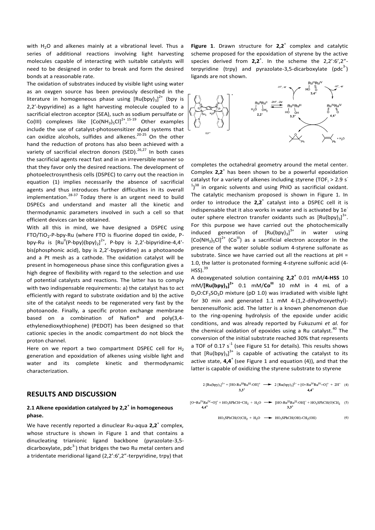with  $H<sub>2</sub>O$  and alkenes mainly at a vibrational level. Thus a series of additional reactions involving light harvesting molecules capable of interacting with suitable catalysts will need to be designed in order to break and form the desired bonds at a reasonable rate.

The oxidation of substrates induced by visible light using water as an oxygen source has been previously described in the literature in homogeneous phase using  $[Ru(bpy)_3]^{2+}$  (bpy is 2,2'-bypyridine) as a light harvesting molecule coupled to a sacrificial electron acceptor (SEA), such as sodium persulfate or Co(III) complexes like  $[CO(NH_3)_5Cl]^{2^+ \tcdot 15 \tcdot 19}$  Other examples include the use of catalyst-photosensitizer dyad systems that can oxidize alcohols, sulfides and alkenes.<sup>20-25</sup> On the other hand the reduction of protons has also been achieved with a variety of sacrificial electron donors (SED).<sup>26,27</sup> In both cases the sacrificial agents react fast and in an irreversible manner so that they favor only the desired reactions. The development of photoelectrosynthesis cells (DSPEC) to carry out the reaction in equation (1) implies necessarily the absence of sacrificial agents and thus introduces further difficulties in its overall implementation.<sup>28-37</sup> Today there is an urgent need to build DSPECs and understand and master all the kinetic and thermodynamic parameters involved in such a cell so that efficient devices can be obtained.

With all this in mind, we have designed a DSPEC using FTO/TiO<sup>2</sup> -P-bpy-Ru (where FTO is fluorine doped tin oxide, Pbpy-Ru is  $[Ru^{||}(P-bpy)(bpy)_2]^{2+}$ , P-bpy is 2,2'-bipyridine-4,4'bis(phosphonic acid), bpy is 2,2'-bypyridine) as a photoanode and a Pt mesh as a cathode. The oxidation catalyst will be present in homogeneous phase since this configuration gives a high degree of flexibility with regard to the selection and use of potential catalysts and reactions. The latter has to comply with two indispensable requirements: a) the catalyst has to act efficiently with regard to substrate oxidation and b) the active site of the catalyst needs to be regenerated very fast by the photoanode. Finally, a specific proton exchange membrane based on a combination of Nafion® and poly(3,4 ethylenedioxythiophene) (PEDOT) has been designed so that cationic species in the anodic compartment do not block the proton channel.

Here on we report a two compartment DSPEC cell for  $H_2$ generation and epoxidation of alkenes using visible light and water and its complete kinetic and thermodynamic characterization.

#### **RESULTS AND DISCUSSION**

# **2.1 Alkene epoxidation catalyzed by 2,2<sup>+</sup> in homogeneous phase.**

We have recently reported a dinuclear Ru-aqua 2,2<sup>+</sup> complex, whose structure is shown in Figure 1 and that contains a dinucleating trianionic ligand backbone (pyrazolate-3,5 dicarboxylate, pdc<sup>3-</sup>) that bridges the two Ru metal centers and a tridentate meridional ligand (2,2':6',2"-terpyridine, trpy) that

Figure 1. Drawn structure for 2,2<sup>+</sup> complex and catalytic scheme proposed for the epoxidation of styrene by the active species derived from **2,2<sup>+</sup>**. In the scheme the 2,2':6',2"terpyridine (trpy) and pyrazolate-3,5-dicarboxylate (pdc $3^2$ ) ligands are not shown.



completes the octahedral geometry around the metal center. Complex **2,2**<sup>+</sup> has been shown to be a powerful epoxidation catalyst for a variety of alkenes including styrene (TOF<sub>i</sub> > 2.9 s<sup>-</sup>  $1<sup>38</sup>$  in organic solvents and using PhIO as sacrificial oxidant. The catalytic mechanism proposed is shown in Figure 1. In order to introduce the 2,2<sup>+</sup> catalyst into a DSPEC cell it is indispensable that it also works in water and is activated by 1e<sup>-</sup> outer sphere electron transfer oxidants such as  $[Ru(bpy)_{3}]^{3+}$ . For this purpose we have carried out the photochemically induced generation of  $[Ru(bpy)_3]^{3+}$  in water using  $[Co(NH<sub>3</sub>)<sub>5</sub>Cl]<sup>2+</sup>$  (Co<sup>III</sup>) as a sacrificial electron acceptor in the presence of the water soluble sodium 4-styrene sulfonate as substrate. Since we have carried out all the reactions at pH = 1.0, the latter is protonated forming 4-styrene sulfonic acid (4-  $HSS$ ).  $39$ 

A deoxygenated solution containing **2,2<sup>+</sup>** 0.01 mM/**4-HSS** 10 mM/**[Ru(bpy)<sup>3</sup> ] 2+** 0.1 mM/**CoIII** 10 mM in 4 mL of a  $D_2O:CF_3SO_3D$  mixture (pD 1.0) was irradiated with visible light for 30 min and generated 1.1 mM 4-(1,2-dihydroxyethyl) benzenesulfonic acid. The latter is a known phenomenon due to the ring-opening hydrolysis of the epoxide under acidic conditions, and was already reported by Fukuzumi *et al.* for the chemical oxidation of epoxides using a Ru catalyst.<sup>40</sup> The conversion of the initial substrate reached 30% that represents a TOF of 0.17  $s^{-1}$  (see Figure S1 for details). This results shows that  $[Ru(bpy)_3]^{3+}$  is capable of activating the catalyst to its active state, **4,4**<sup>+</sup>(see Figure 1 and equation (4)), and that the latter is capable of oxidizing the styrene substrate to styrene

$$
2 [Ru(bpy)_3]^{3+} + [HO-Ru^{III}Ru^{III} \text{-}OH]^{+} \longrightarrow 2 [Ru(bpy)_3]^{2+} + [O=Ru^{IV}Ru^{IV} = O]^{+} + 2H^{+} \quad (4)
$$
  
3,3<sup>+</sup>

 $[O=Ru^{IV}Ru^{IV}=O]^+ + HO_3SPhCH=CH_2 + H_2O \implies [HO-Ru^{III}Ru^{III}-OH]^+ + HO_3SPhCH(O)CH_2 \quad (5)$  $4.4^{+}$ 

$$
HO3SPhCH(O)CH2 + H2O \longrightarrow HO3SPhCH(OH)-CH2(OH)
$$
 (6)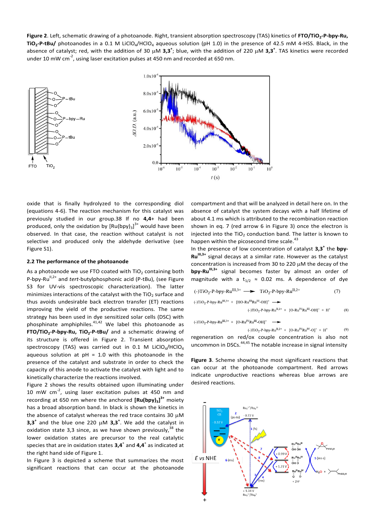**Figure 2**. Left, schematic drawing of a photoanode. Right, transient absorption spectroscopy (TAS) kinetics of **FTO/TiO<sup>2</sup> -P-bpy-Ru, TiO<sup>2</sup> -P-tBu/** photoanodes in a 0.1 M LiClO4/HClO<sup>4</sup> aqueous solution (pH 1.0) in the presence of 42.5 mM 4-HSS. Black, in the absence of catalyst; red, with the addition of 30 µM  $3,3^+$ ; blue, with the addition of 220 µM  $3,3^+$ . TAS kinetics were recorded under 10 mW cm<sup>-2</sup>, using laser excitation pulses at 450 nm and recorded at 650 nm.



oxide that is finally hydrolyzed to the corresponding diol (equations 4-6). The reaction mechanism for this catalyst was previously studied in our group.38 If no **4,4**+ had been produced, only the oxidation by  $[Ru(bpy)_3]^3$ <sup>+</sup> would have been observed. In that case, the reaction without catalyst is not selective and produced only the aldehyde derivative (see Figure S1).

#### **2.2 The performance of the photoanode**

As a photoanode we use FTO coated with  $TiO<sub>2</sub>$  containing both P-bpy-Ru<sup>II,2+</sup> and *tert*-butylphosphonic acid (P-tBu), (see Figure S3 for UV-vis spectroscopic characterization). The latter minimizes interactions of the catalyst with the TiO<sub>2</sub> surface and thus avoids undesirable back electron transfer (ET) reactions improving the yield of the productive reactions. The same strategy has been used in dye sensitized solar cells (DSC) with phosphinate amphiphiles. $41,42$  We label this photoanode as **FTO/TiO<sup>2</sup> -P-bpy-Ru, TiO<sup>2</sup> -P-tBu/** and a schematic drawing of its structure is offered in Figure 2. Transient absorption spectroscopy (TAS) was carried out in 0.1 M LiClO<sub>4</sub>/HClO<sub>4</sub> aqueous solution at  $pH = 1.0$  with this photoanode in the presence of the catalyst and substrate in order to check the capacity of this anode to activate the catalyst with light and to kinetically characterize the reactions involved.

Figure 2 shows the results obtained upon illuminating under 10 mW  $cm^{-2}$ , using laser excitation pulses at 450 nm and recording at 650 nm where the anchored **[Ru(bpy)<sup>3</sup> ] 3+** moiety has a broad absorption band. In black is shown the kinetics in the absence of catalyst whereas the red trace contains 30  $\mu$ M **3,3<sup>+</sup>** and the blue one 220  $\mu$ M **3,3<sup>+</sup>**. We add the catalyst in oxidation state 3,3 since, as we have shown previously,  $38$  the lower oxidation states are precursor to the real catalytic species that are in oxidation states **3,4**<sup>+</sup> and **4,4**<sup>+</sup> as indicated at the right hand side of Figure 1.

In Figure 3 is depicted a scheme that summarizes the most significant reactions that can occur at the photoanode

compartment and that will be analyzed in detail here on. In the absence of catalyst the system decays with a half lifetime of about 4.1 ms which is attributed to the recombination reaction shown in eq. 7 (red arrow 6 in Figure 3) once the electron is injected into the  $TiO<sub>2</sub>$  conduction band. The latter is known to happen within the picosecond time scale.<sup>43</sup>

In the presence of low concentration of catalyst **3,3<sup>+</sup>** the **bpy-RuIII,3+** signal decays at a similar rate. However as the catalyst concentration is increased from 30 to 220  $\mu$ M the decay of the **bpy-Ru<sup>III,3+</sup>** signal becomes faster by almost an order of magnitude with a t<sub>1/2</sub>  $\approx$  0.02 ms. A dependence of dye

(-)TiO<sub>2</sub>-P-by-Ru<sup>III,3+</sup> 
$$
\longrightarrow
$$
 TiO<sub>2</sub>-P-by-Ru<sup>II,2+</sup> (7)  
\n(-)TiO<sub>2</sub>-P-by-Ru<sup>III,3+</sup> + [HO-Ru<sup>III</sup>Ru<sup>III</sup>-OH]<sup>+</sup>  $\longrightarrow$   
\n(-)TiO<sub>2</sub>-P-by-Ru<sup>II,2+</sup> + [O-Ru<sup>IV</sup>Ru<sup>III</sup>-OH]<sup>+</sup> + H<sup>+</sup> (8)

 $(-)TiO_2-P-by-Ru^{\text{III},3+} + [O-Ru^{\text{IV}}Ru^{\text{III}}-OH]^+$ 

 $(-)TiO_2-P-by-Ru^{II,2+} + [O-Ru^{IV}Ru^{IV}-O]^+ + H^+$  $(9)$ 

regeneration on red/ox couple concentration is also not uncommon in DSCs.<sup>44,45</sup> The notable increase in signal intensity

**Figure 3**. Scheme showing the most significant reactions that can occur at the photoanode compartment. Red arrows indicate unproductive reactions whereas blue arrows are desired reactions.

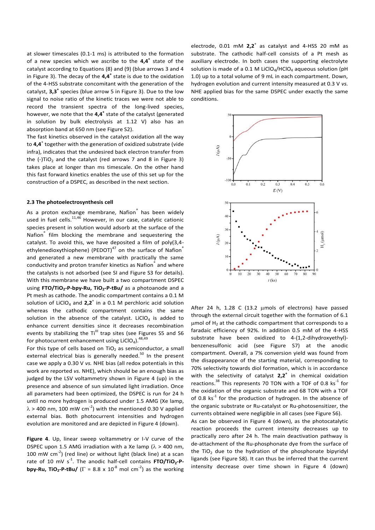at slower timescales (0.1-1 ms) is attributed to the formation of a new species which we ascribe to the **4,4<sup>+</sup>** state of the catalyst according to Equations (8) and (9) (blue arrows 3 and 4 in Figure 3). The decay of the **4,4<sup>+</sup>** state is due to the oxidation of the 4-HSS substrate concomitant with the generation of the catalyst, **3,3<sup>+</sup>** species (blue arrow 5 in Figure 3). Due to the low signal to noise ratio of the kinetic traces we were not able to record the transient spectra of the long-lived species, however, we note that the **4,4<sup>+</sup>** state of the catalyst (generated in solution by bulk electrolysis at 1.12 V) also has an absorption band at 650 nm (see Figure S2).

The fast kinetics observed in the catalyst oxidation all the way to **4,4**<sup>+</sup> together with the generation of oxidized substrate (vide infra), indicates that the undesired back electron transfer from the  $(-)TiO<sub>2</sub>$  and the catalyst (red arrows 7 and 8 in Figure 3) takes place at longer than ms timescale. On the other hand this fast forward kinetics enables the use of this set up for the construction of a DSPEC, as described in the next section.

#### **2.3 The photoelectrosynthesis cell**

As a proton exchange membrane, Nafion<sup>®</sup> has been widely used in fuel cells.<sup>11,46</sup> However, in our case, catalytic cationic species present in solution would adsorb at the surface of the Nafion® film blocking the membrane and sequestering the catalyst. To avoid this, we have deposited a film of poly(3,4 ethylenedioxythiophene) (PEDOT) $47$  on the surface of Nafion® and generated a new membrane with practically the same conductivity and proton transfer kinetics as Nafion<sup>®</sup> and where the catalysts is not adsorbed (see SI and Figure S3 for details). With this membrane we have built a two compartment DSPEC using **FTO/TiO<sup>2</sup> -P-bpy-Ru, TiO<sup>2</sup> -P-tBu/** as a photoanode and a Pt mesh as cathode. The anodic compartment contains a 0.1 M solution of LiClO<sub>4</sub> and  $2,2^+$  in a 0.1 M perchloric acid solution whereas the cathodic compartment contains the same solution in the absence of the catalyst. LiClO<sub>4</sub> is added to enhance current densities since it decreases recombination events by stabilizing the Ti<sup>III</sup> trap sites (see Figures S5 and S6 for photocurrent enhancement using LiClO<sub>4</sub>).<sup>48,49</sup>

For this type of cells based on  $TiO<sub>2</sub>$  as semiconductor, a small external electrical bias is generally needed.<sup>50</sup> In the present case we apply a 0.30 V *vs.* NHE bias (all redox potentials in this work are reported *vs.* NHE), which should be an enough bias as judged by the LSV voltammetry shown in Figure 4 (up) in the presence and absence of sun simulated light irradiation. Once all parameters had been optimized, the DSPEC is run for 24 h until no more hydrogen is produced under 1.5 AMG (Xe lamp,  $\lambda$  > 400 nm, 100 mW cm<sup>-2</sup>) with the mentioned 0.30 V applied external bias. Both photocurrent intensities and hydrogen evolution are monitored and are depicted in Figure 4 (down).

**Figure 4**. Up, linear sweep voltammetry or I-V curve of the DSPEC upon 1.5 AMG irradiation with a Xe lamp ( $\lambda$  > 400 nm, 100 mW  $cm^{-2}$ ) (red line) or without light (black line) at a scan rate of 10 mV s<sup>-1</sup>. The anodic half-cell contains **FTO/TiO<sub>2</sub>-Pbpy-Ru, TiO<sub>2</sub>-P-tBu/** ( $\Gamma$  = 8.8 x 10<sup>-8</sup> mol cm<sup>-2</sup>) as the working

electrode,  $0.01$  mM  $2.2<sup>+</sup>$  as catalyst and 4-HSS 20 mM as substrate. The cathodic half-cell consists of a Pt mesh as auxiliary electrode. In both cases the supporting electrolyte solution is made of a 0.1 M LiClO<sub>4</sub>/HClO<sub>4</sub> aqueous solution (pH 1.0) up to a total volume of 9 mL in each compartment. Down, hydrogen evolution and current intensity measured at 0.3 V *vs.* NHE applied bias for the same DSPEC under exactly the same conditions.



After 24 h, 1.28 C (13.2  $\mu$ mols of electrons) have passed through the external circuit together with the formation of 6.1  $\mu$ mol of H<sub>2</sub> at the cathodic compartment that corresponds to a faradaic efficiency of 92%. In addition 0.5 mM of the 4-HSS substrate have been oxidized to 4-(1,2-dihydroxyethyl) benzenesulfonic acid (see Figure S7) at the anodic compartment. Overall, a 7% conversion yield was found from the disappearance of the starting material, corresponding to 70% selectivity towards diol formation, which is in accordance with the selectivity of catalyst **2,2<sup>+</sup>** in chemical oxidation reactions. $^{38}$  This represents 70 TON with a TOF of 0.8 ks<sup>-1</sup> for the oxidation of the organic substrate and 68 TON with a TOF of 0.8  $ks^{-1}$  for the production of hydrogen. In the absence of the organic substrate or Ru-catalyst or Ru-photosensitizer, the currents obtained were negligible in all cases (see Figure S6).

As can be observed in Figure 4 (down), as the photocatalytic reaction proceeds the current intensity decreases up to practically zero after 24 h. The main deactivation pathway is de-attachment of the Ru-phosphonate dye from the surface of the TiO<sub>2</sub> due to the hydration of the phosphonate bipyridyl ligands (see Figure S8). It can thus be inferred that the current intensity decrease over time shown in Figure 4 (down)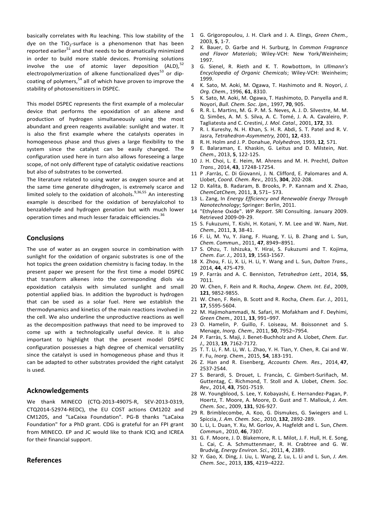basically correlates with Ru leaching. This low stability of the dye on the  $TiO<sub>2</sub>$ -surface is a phenomenon that has been reported earlier $51$  and that needs to be dramatically minimized in order to build more stable devices. Promising solutions involve the use of atomic layer deposition (ALD), $52$ electropolymerization of alkene functionalized dyes<sup>53</sup> or dipcoating of polymers,<sup>54</sup> all of which have proven to improve the stability of photosensitizers in DSPEC.

This model DSPEC represents the first example of a molecular device that performs the epoxidation of an alkene and production of hydrogen simultaneously using the most abundant and green reagents available: sunlight and water. It is also the first example where the catalysts operates in homogeneous phase and thus gives a large flexibility to the system since the catalyst can be easily changed. The configuration used here in turn also allows foreseeing a large scope, of not only different type of catalytic oxidative reactions but also of substrates to be converted.

The literature related to using water as oxygen source and at the same time generate dihydrogen, is extremely scarce and limited solely to the oxidation of alcohols.<sup>9,36,55</sup> An interesting example is described for the oxidation of benzylalcohol to benzaldehyde and hydrogen genation but with much lower operation times and much lesser faradaic efficiencies.<sup>36</sup>

## **Conclusions**

The use of water as an oxygen source in combination with sunlight for the oxidation of organic substrates is one of the hot topics the green oxidation chemistry is facing today. In the present paper we present for the first time a model DSPEC that transform alkenes into the corresponding diols via epoxidation catalysis with simulated sunlight and small potential applied bias. In addition the byproduct is hydrogen that can be used as a solar fuel. Here we establish the thermodynamics and kinetics of the main reactions involved in the cell. We also underline the unproductive reactions as well as the decomposition pathways that need to be improved to come up with a technologically useful device. It is also important to highlight that the present model DSPEC configuration possesses a high degree of chemical versatility since the catalyst is used in homogeneous phase and thus it can be adapted to other substrates provided the right catalyst is used.

### **Acknowledgements**

We thank MINECO (CTQ-2013-49075-R, SEV-2013-0319, CTQ2014-52974-REDC), the EU COST actions CM1202 and CM1205, and "LaCaixa Foundation". PG-B thanks "LaCaixa Foundation" for a PhD grant. CDG is grateful for an FPI grant from MINECO. EP and JC would like to thank ICIQ and ICREA for their financial support.

#### **References**

- 1 G. Grigoropoulou, J. H. Clark and J. A. Elings, *Green Chem.,* 2003, **5**, 1-7.
- 2 K. Bauer, D. Garbe and H. Surburg, In *Common Fragrance and Flavor Materials*; Wiley-VCH: New York/Weinheim; 1997.
- 3 G. Sienel, R. Rieth and K. T. Rowbottom, In *Ullmann's Encyclopedia of Organic Chemicals*; Wiley-VCH: Weinheim; 1999.
- 4 K. Sato, M. Aoki, M. Ogawa, T. Hashimoto and R. Noyori, *J. Org. Chem.,* 1996, **61**, 8310.
- 5 K. Sato, M. Aoki, M. Ogawa, T. Hashimoto, D. Panyella and R. Noyori, *Bull. Chem. Soc. Jpn.,* 1997, **70**, 905.
- 6 R. R. L. Martins, M. G. P. M. S. Neves, A. J. D. Silvestre, M. M. Q. Simões, A. M. S. Silva, A. C. Tomé, J. A. A. Cavaleiro, P. Tagliatesta and C. Crestini, *J. Mol. Catal.,* 2001, **172**, 33.
- 7 R. I. Kureshy, N. H. Khan, S. H. R. Abdi, S. T. Patel and R. V. Jasra, *Tetrahedron-Asymmetry,* 2001, **12**, 433.
- 8 R. H. Holm and J. P. Donahue, *Polyhedron,* 1993, **12***,* 571.
- 9 E. Balaraman, E. Khaskin, G. Leitus and D. Milstein, *Nat. Chem.,* 2013, **5**, 122-125.
- 10 J. H. Choi, L. E. Heim, M. Ahrens and M. H. Prechtl, *Dalton Trans.,* 2014, **43**, 17248-17254.
- 11 P .Farràs, C. Di Giovanni, J. N. Clifford, E. Palomares and A. Llobet, *Coord. Chem. Rev.,* 2015, **304**, 202-208.
- 12 D. Kalita, B. Radaram, B. Brooks, P. P. Kannam and X. Zhao, *ChemCatChem,* 2011, **3**, 571– 573.
- 13 L. Zang, In *Energy Efficiency and Renewable Energy Through Nanotechnology*; Springer: Berlin, 2011.
- 14 "Ethylene Oxide". *WP Report*. SRI Consulting. January 2009. Retrieved 2009-09-29.
- 15 S. Fukuzumi, T. Kishi, H. Kotani, Y. M. Lee and W. Nam, *Nat. Chem.,* 2011, **3**, 38-41.
- 16 F. Li, M. Yu, Y. Jiang, F. Huang, Y. Li, B. Zhang and L. Sun, *Chem. Commun.,* 2011, **47**, 8949–8951.
- 17 S. Ohzu, T. Ishizuka, Y. Hirai, S. Fukuzumi and T. Kojima, *Chem. Eur. J.,* 2013, **19**, 1563-1567.
- 18 X. Zhou, F. Li, X. Li, H. Li, Y. Wang and L. Sun, *Dalton Trans.,* 2014, **44**, 475-479.
- 19 P. Farràs and A. C. Benniston, *Tetrahedron Lett.,* 2014, **55**, 7011.
- 20 W. Chen, F. Rein and R. Rocha, *Angew. Chem. Int. Ed.,* 2009, **121**, 9852-9855.
- 21 W. Chen, F. Rein, B. Scott and R. Rocha, *Chem. Eur. J.,* 2011, **17**, 5595-5604.
- 22 M. Hajimohammadi, N. Safari, H. Mofakham and F. Deyhimi, *Green Chem.,* 2011, **13**, 991–997.
- 23 O. Hamelin, P. Guillo, F. Loiseau, M. Boissonnet and S. Menage, *Inorg. Chem.,* 2011, **50**, 7952–7954.
- 24 P. Farràs, S. Maji, J. Benet-Buchholz and A. Llobet, *Chem. Eur. J.,* 2013, **19**, 7162-7172.
- 25 T. T. Li, F. M. Li, W. L. Zhao, Y. H. Tian, Y. Chen, R. Cai and W. F. Fu, *Inorg. Chem.,* 2015, **54**, 183-191.
- 26 Z. Han and R. Eisenberg, *Accounts Chem. Res.,* 2014, **47**, 2537-2544.
- 27 S. Berardi, S. Drouet, L. Francàs, C. Gimbert-Suriñach, M. Guttentag, C. Richmond, T. Stoll and A. Llobet, *Chem. Soc. Rev.,* 2014, **43**, 7501-7519.
- 28 W. Youngblood, S. Lee, Y. Kobayashi, E. Hernandez-Pagan, P. Hoertz, T. Moore, A. Moore, D. Gust and T. Mallouk, *J. Am. Chem. Soc.,* 2009, **131**, 926-927.
- 29 R. Brimblecombe, A. Koo, G. Dismukes, G. Swiegers and L. Spiccia, *J. Am. Chem. Soc.,* 2010, **132**, 2892-289.
- 30 L. Li, L. Duan, Y. Xu, M. Gorlov, A. Hagfeldt and L. Sun, *Chem. Commun.,* 2010, **46**, 7307.
- 31 G. F. Moore, J. D. Blakemore, R. L. Milot, J. F. Hull, H. E. Song, L. Cai, C. A. Schmuttenmaer, R. H. Crabtree and G. W. Brudvig, *Energy Environ. Sci.,* 2011, **4**, 2389.
- 32 Y. Gao, X. Ding, J. Liu, L. Wang, Z. Lu, L. Li and L. Sun, *J. Am. Chem. Soc.,* 2013, **135**, 4219–4222.